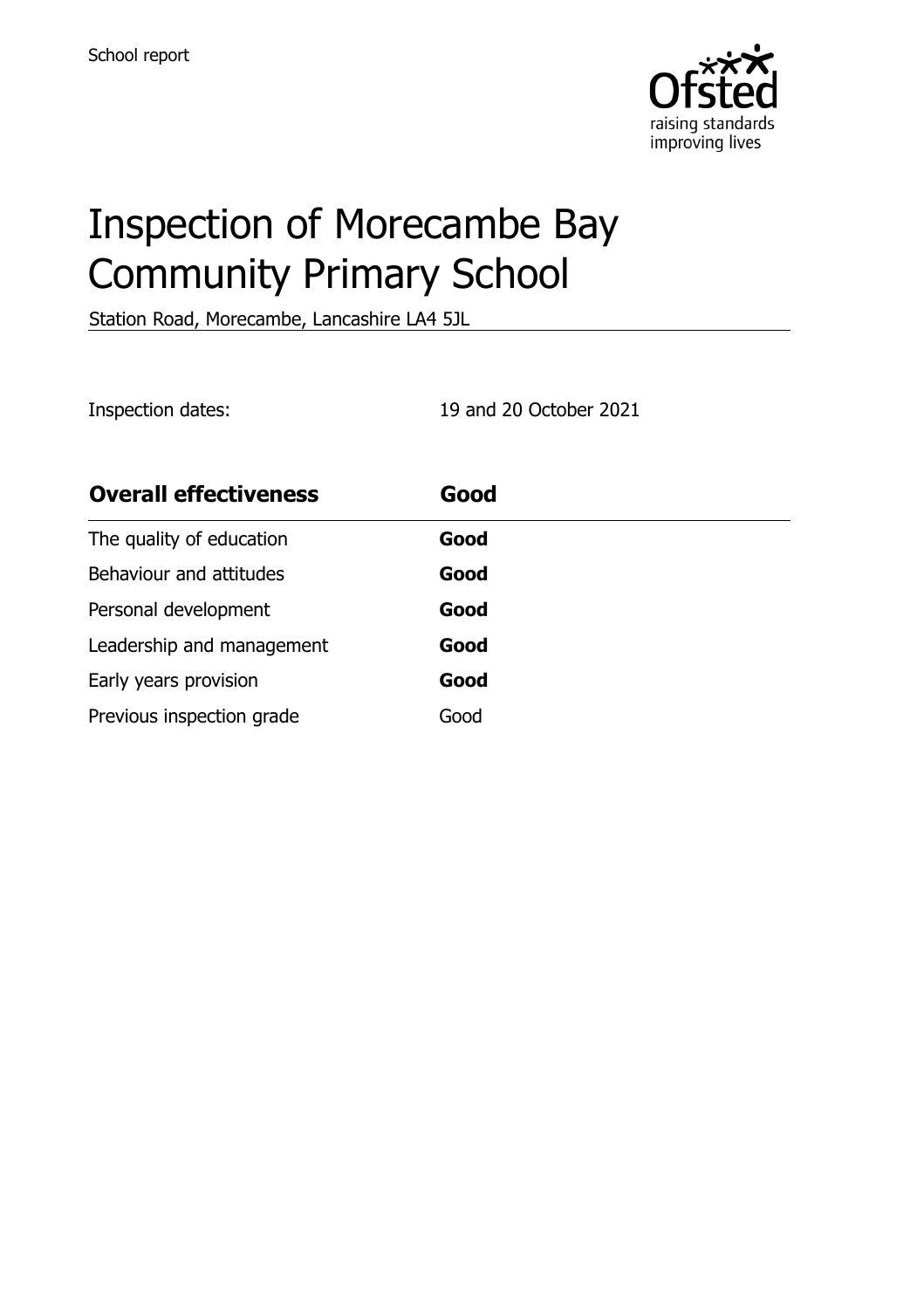

# Inspection of Morecambe Bay Community Primary School

Station Road, Morecambe, Lancashire LA4 5JL

Inspection dates: 19 and 20 October 2021

| <b>Overall effectiveness</b> | Good |
|------------------------------|------|
| The quality of education     | Good |
| Behaviour and attitudes      | Good |
| Personal development         | Good |
| Leadership and management    | Good |
| Early years provision        | Good |
| Previous inspection grade    | Good |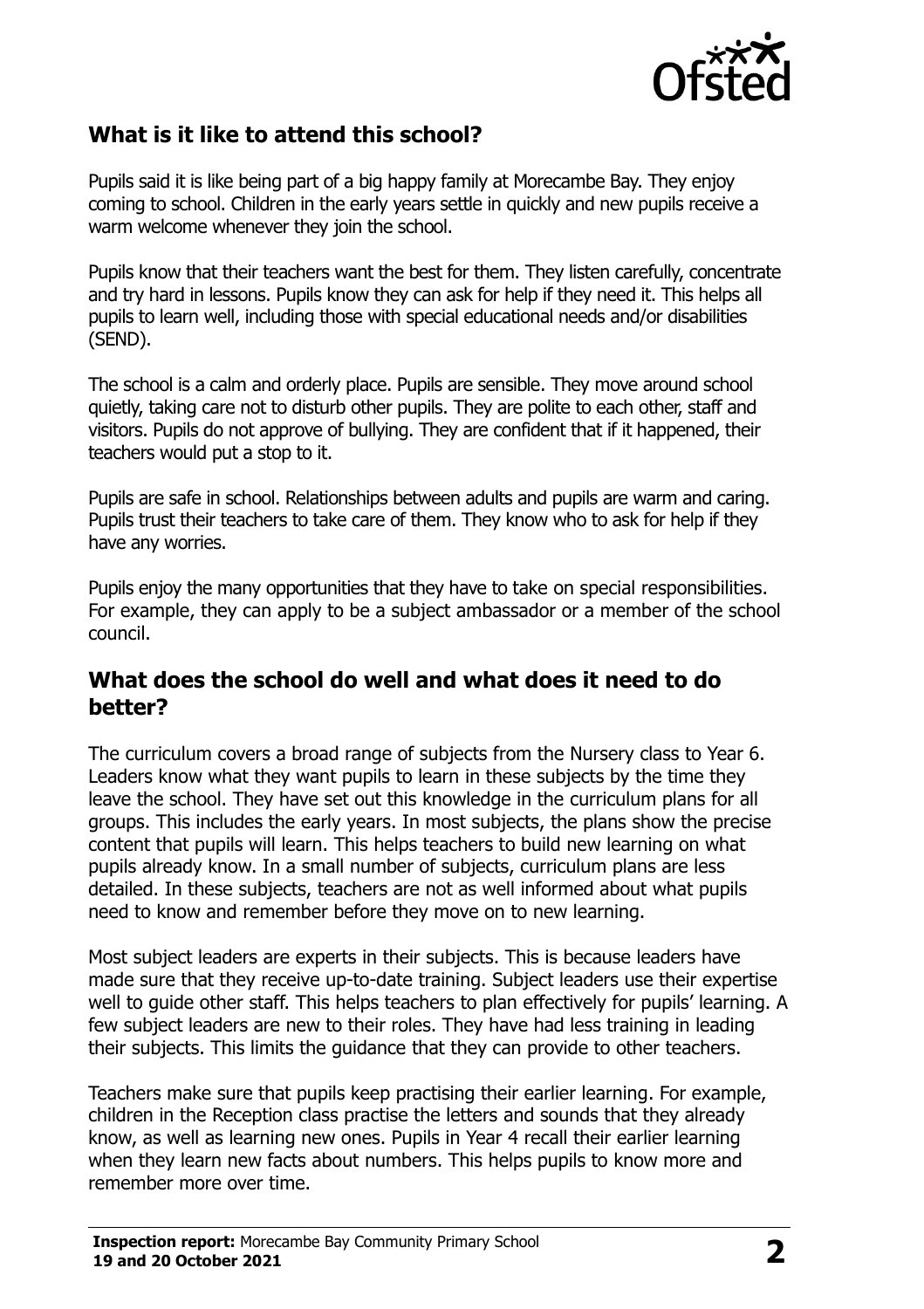

# **What is it like to attend this school?**

Pupils said it is like being part of a big happy family at Morecambe Bay. They enjoy coming to school. Children in the early years settle in quickly and new pupils receive a warm welcome whenever they join the school.

Pupils know that their teachers want the best for them. They listen carefully, concentrate and try hard in lessons. Pupils know they can ask for help if they need it. This helps all pupils to learn well, including those with special educational needs and/or disabilities (SEND).

The school is a calm and orderly place. Pupils are sensible. They move around school quietly, taking care not to disturb other pupils. They are polite to each other, staff and visitors. Pupils do not approve of bullying. They are confident that if it happened, their teachers would put a stop to it.

Pupils are safe in school. Relationships between adults and pupils are warm and caring. Pupils trust their teachers to take care of them. They know who to ask for help if they have any worries.

Pupils enjoy the many opportunities that they have to take on special responsibilities. For example, they can apply to be a subject ambassador or a member of the school council.

#### **What does the school do well and what does it need to do better?**

The curriculum covers a broad range of subjects from the Nursery class to Year 6. Leaders know what they want pupils to learn in these subjects by the time they leave the school. They have set out this knowledge in the curriculum plans for all groups. This includes the early years. In most subjects, the plans show the precise content that pupils will learn. This helps teachers to build new learning on what pupils already know. In a small number of subjects, curriculum plans are less detailed. In these subjects, teachers are not as well informed about what pupils need to know and remember before they move on to new learning.

Most subject leaders are experts in their subjects. This is because leaders have made sure that they receive up-to-date training. Subject leaders use their expertise well to guide other staff. This helps teachers to plan effectively for pupils' learning. A few subject leaders are new to their roles. They have had less training in leading their subjects. This limits the guidance that they can provide to other teachers.

Teachers make sure that pupils keep practising their earlier learning. For example, children in the Reception class practise the letters and sounds that they already know, as well as learning new ones. Pupils in Year 4 recall their earlier learning when they learn new facts about numbers. This helps pupils to know more and remember more over time.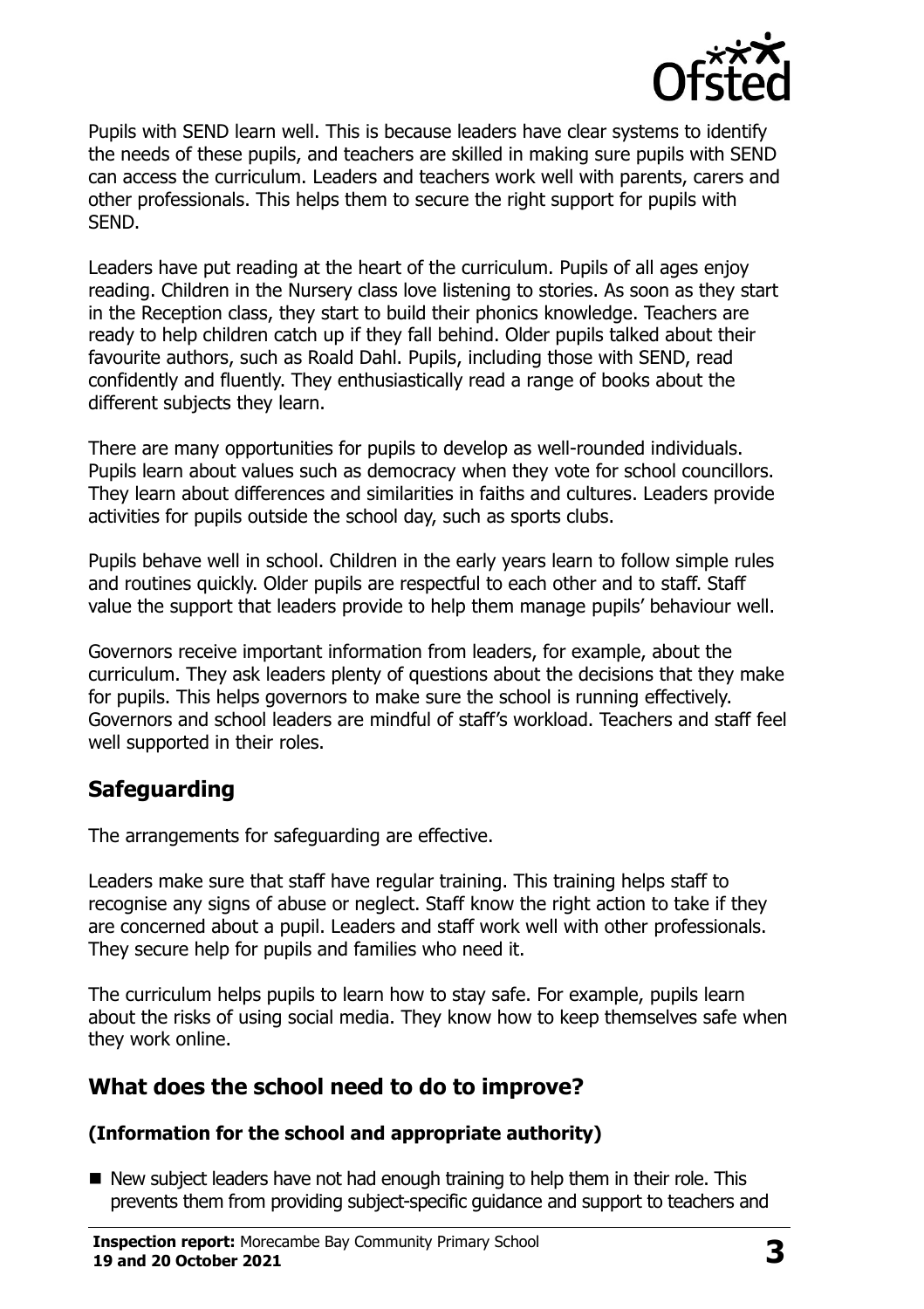

Pupils with SEND learn well. This is because leaders have clear systems to identify the needs of these pupils, and teachers are skilled in making sure pupils with SEND can access the curriculum. Leaders and teachers work well with parents, carers and other professionals. This helps them to secure the right support for pupils with SEND.

Leaders have put reading at the heart of the curriculum. Pupils of all ages enjoy reading. Children in the Nursery class love listening to stories. As soon as they start in the Reception class, they start to build their phonics knowledge. Teachers are ready to help children catch up if they fall behind. Older pupils talked about their favourite authors, such as Roald Dahl. Pupils, including those with SEND, read confidently and fluently. They enthusiastically read a range of books about the different subjects they learn.

There are many opportunities for pupils to develop as well-rounded individuals. Pupils learn about values such as democracy when they vote for school councillors. They learn about differences and similarities in faiths and cultures. Leaders provide activities for pupils outside the school day, such as sports clubs.

Pupils behave well in school. Children in the early years learn to follow simple rules and routines quickly. Older pupils are respectful to each other and to staff. Staff value the support that leaders provide to help them manage pupils' behaviour well.

Governors receive important information from leaders, for example, about the curriculum. They ask leaders plenty of questions about the decisions that they make for pupils. This helps governors to make sure the school is running effectively. Governors and school leaders are mindful of staff's workload. Teachers and staff feel well supported in their roles.

# **Safeguarding**

The arrangements for safeguarding are effective.

Leaders make sure that staff have regular training. This training helps staff to recognise any signs of abuse or neglect. Staff know the right action to take if they are concerned about a pupil. Leaders and staff work well with other professionals. They secure help for pupils and families who need it.

The curriculum helps pupils to learn how to stay safe. For example, pupils learn about the risks of using social media. They know how to keep themselves safe when they work online.

# **What does the school need to do to improve?**

#### **(Information for the school and appropriate authority)**

New subject leaders have not had enough training to help them in their role. This prevents them from providing subject-specific guidance and support to teachers and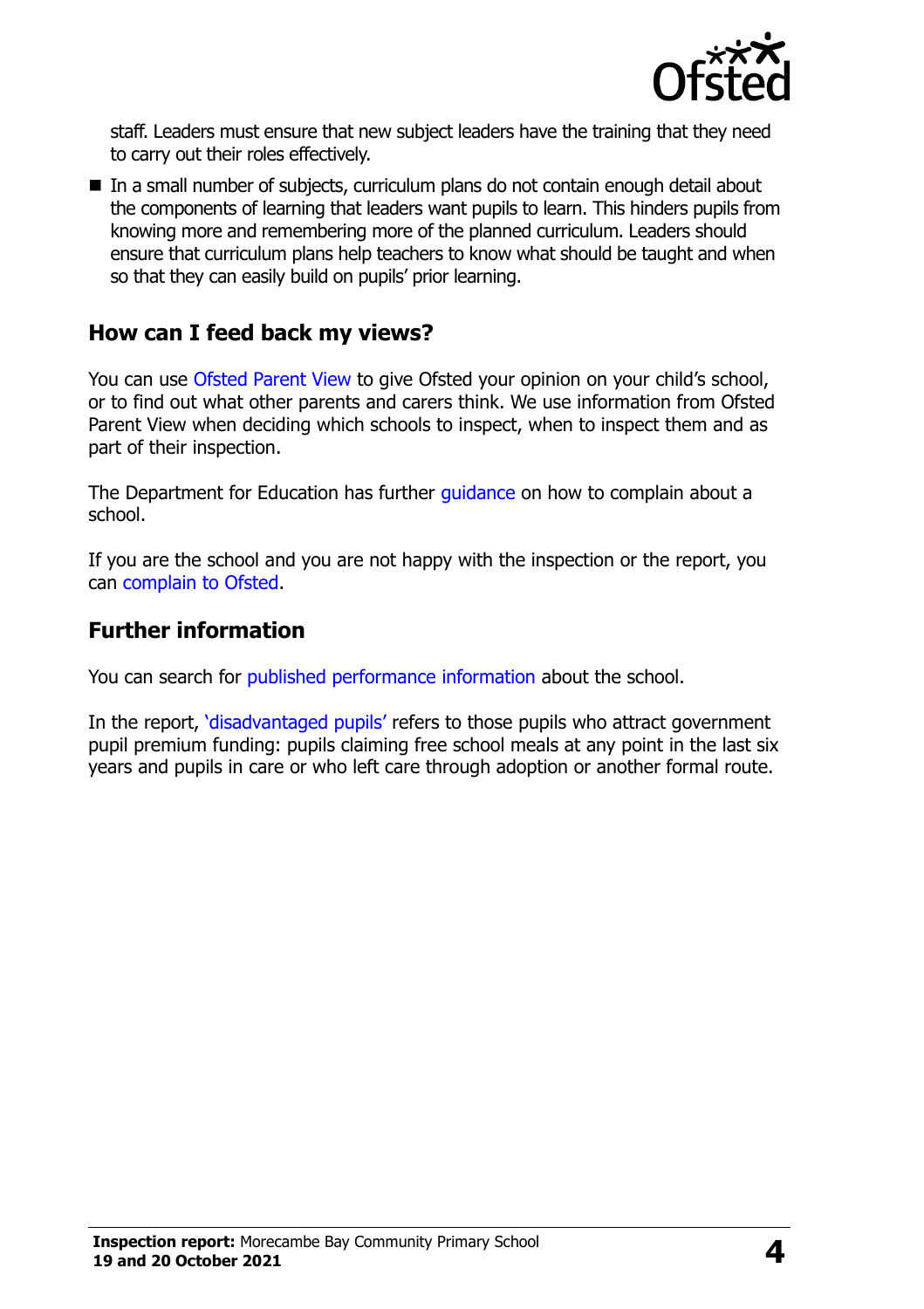

staff. Leaders must ensure that new subject leaders have the training that they need to carry out their roles effectively.

■ In a small number of subjects, curriculum plans do not contain enough detail about the components of learning that leaders want pupils to learn. This hinders pupils from knowing more and remembering more of the planned curriculum. Leaders should ensure that curriculum plans help teachers to know what should be taught and when so that they can easily build on pupils' prior learning.

## **How can I feed back my views?**

You can use [Ofsted Parent View](http://parentview.ofsted.gov.uk/) to give Ofsted your opinion on your child's school, or to find out what other parents and carers think. We use information from Ofsted Parent View when deciding which schools to inspect, when to inspect them and as part of their inspection.

The Department for Education has further quidance on how to complain about a school.

If you are the school and you are not happy with the inspection or the report, you can [complain to Ofsted.](http://www.gov.uk/complain-ofsted-report)

### **Further information**

You can search for [published performance information](http://www.compare-school-performance.service.gov.uk/) about the school.

In the report, '[disadvantaged pupils](http://www.gov.uk/guidance/pupil-premium-information-for-schools-and-alternative-provision-settings)' refers to those pupils who attract government pupil premium funding: pupils claiming free school meals at any point in the last six years and pupils in care or who left care through adoption or another formal route.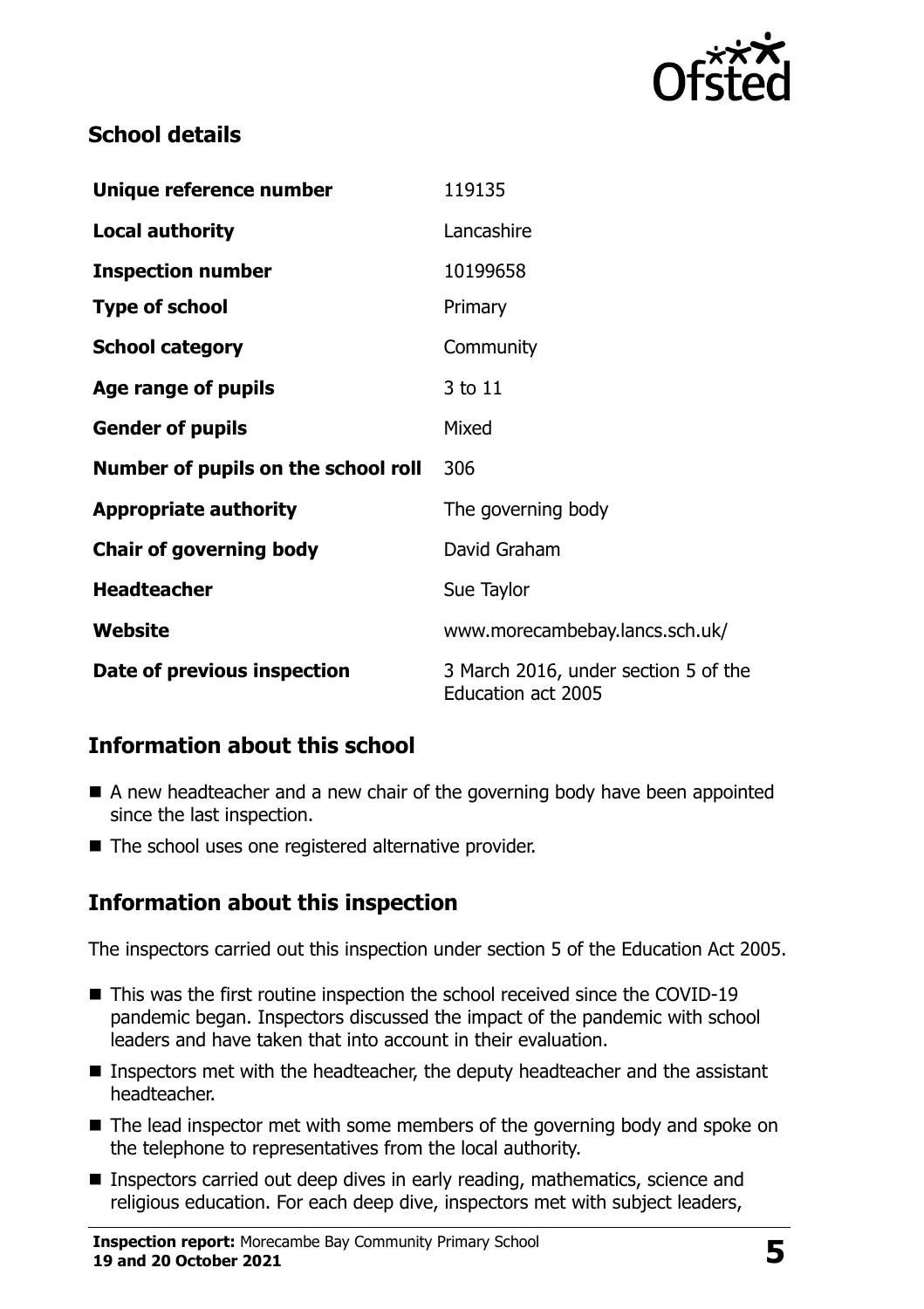

# **School details**

| Unique reference number             | 119135                                                            |
|-------------------------------------|-------------------------------------------------------------------|
| <b>Local authority</b>              | Lancashire                                                        |
| <b>Inspection number</b>            | 10199658                                                          |
| <b>Type of school</b>               | Primary                                                           |
| <b>School category</b>              | Community                                                         |
| Age range of pupils                 | 3 to 11                                                           |
| <b>Gender of pupils</b>             | Mixed                                                             |
| Number of pupils on the school roll | 306                                                               |
| <b>Appropriate authority</b>        | The governing body                                                |
| <b>Chair of governing body</b>      | David Graham                                                      |
| <b>Headteacher</b>                  | Sue Taylor                                                        |
| Website                             | www.morecambebay.lancs.sch.uk/                                    |
| Date of previous inspection         | 3 March 2016, under section 5 of the<br><b>Education act 2005</b> |

# **Information about this school**

- A new headteacher and a new chair of the governing body have been appointed since the last inspection.
- The school uses one registered alternative provider.

# **Information about this inspection**

The inspectors carried out this inspection under section 5 of the Education Act 2005.

- This was the first routine inspection the school received since the COVID-19 pandemic began. Inspectors discussed the impact of the pandemic with school leaders and have taken that into account in their evaluation.
- Inspectors met with the headteacher, the deputy headteacher and the assistant headteacher.
- The lead inspector met with some members of the governing body and spoke on the telephone to representatives from the local authority.
- Inspectors carried out deep dives in early reading, mathematics, science and religious education. For each deep dive, inspectors met with subject leaders,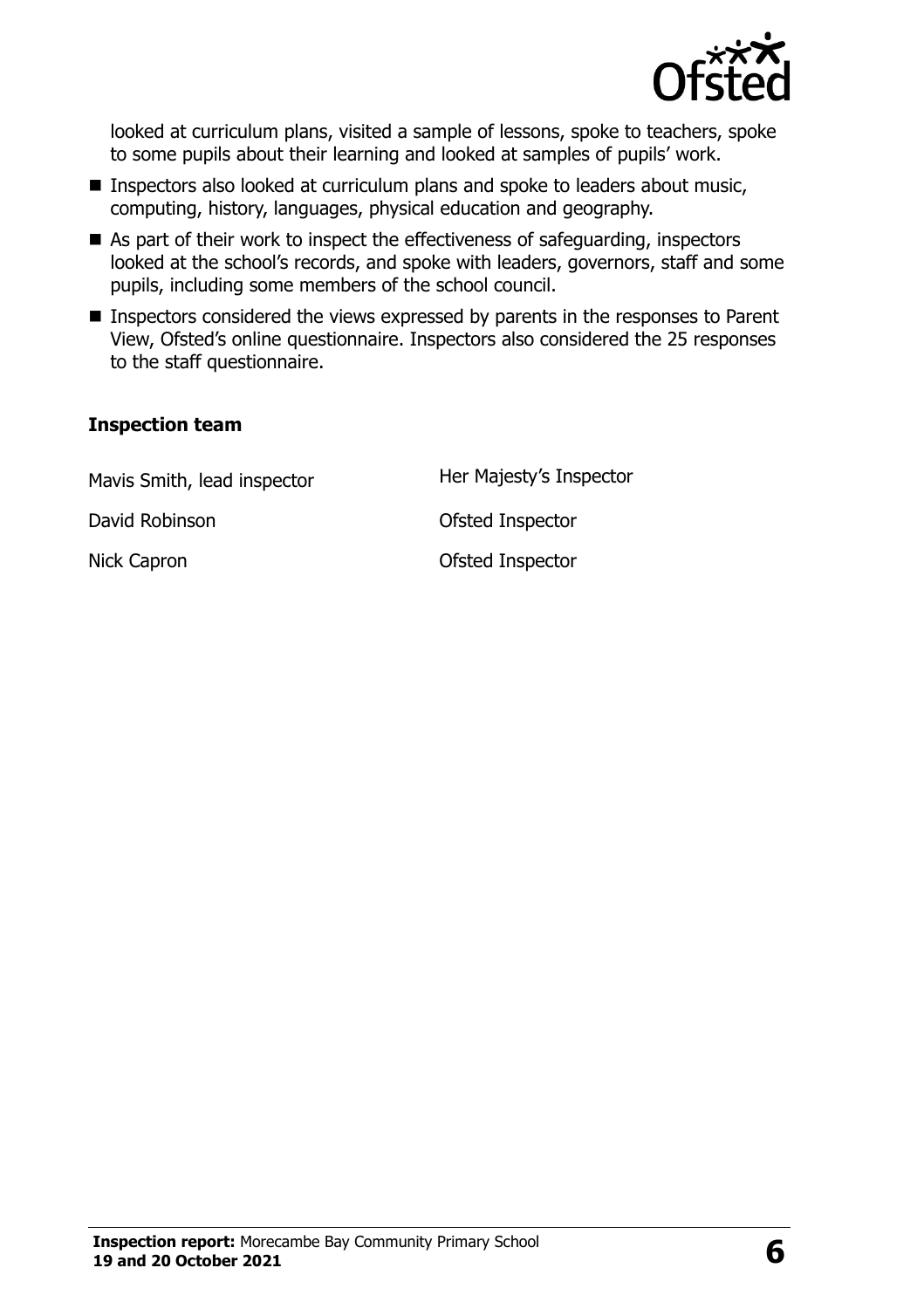

looked at curriculum plans, visited a sample of lessons, spoke to teachers, spoke to some pupils about their learning and looked at samples of pupils' work.

- Inspectors also looked at curriculum plans and spoke to leaders about music, computing, history, languages, physical education and geography.
- As part of their work to inspect the effectiveness of safeguarding, inspectors looked at the school's records, and spoke with leaders, governors, staff and some pupils, including some members of the school council.
- **Inspectors considered the views expressed by parents in the responses to Parent** View, Ofsted's online questionnaire. Inspectors also considered the 25 responses to the staff questionnaire.

#### **Inspection team**

| Mavis Smith, lead inspector | Her Majesty's Inspector |
|-----------------------------|-------------------------|
| David Robinson              | Ofsted Inspector        |
| Nick Capron                 | Ofsted Inspector        |